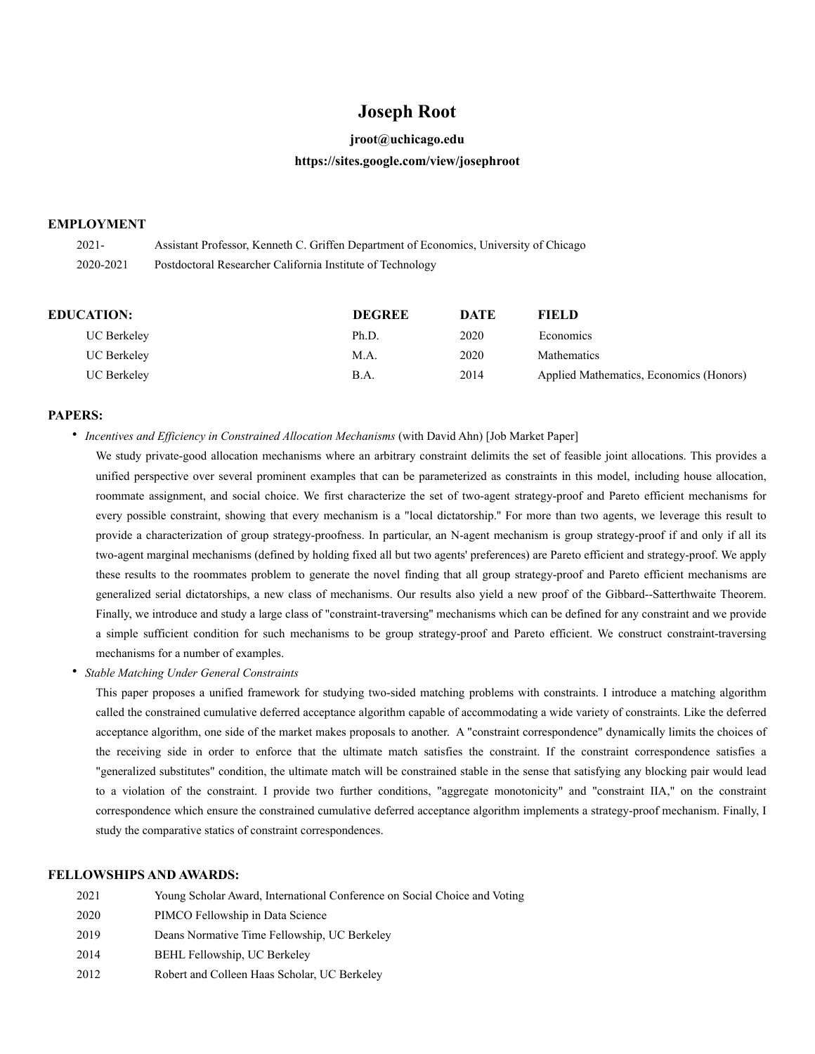# **Joseph Root**

## **jroot@uchicago.edu**

## **https://sites.google.com/view/josephroot**

### **EMPLOYMENT**

| $2021 -$  | Assistant Professor, Kenneth C. Griffen Department of Economics, University of Chicago |
|-----------|----------------------------------------------------------------------------------------|
| 2020-2021 | Postdoctoral Researcher California Institute of Technology                             |

| <b>EDUCATION:</b>  | <b>DEGREE</b> | DATE | FIELD                                   |
|--------------------|---------------|------|-----------------------------------------|
| <b>UC Berkeley</b> | Ph.D.         | 2020 | Economics                               |
| <b>UC Berkeley</b> | M.A.          | 2020 | <b>Mathematics</b>                      |
| <b>UC Berkeley</b> | B.A.          | 2014 | Applied Mathematics, Economics (Honors) |

## **PAPERS:**

• *Incentives and Efficiency in Constrained Allocation Mechanisms* (with David Ahn) [Job Market Paper]

We study private-good allocation mechanisms where an arbitrary constraint delimits the set of feasible joint allocations. This provides a unified perspective over several prominent examples that can be parameterized as constraints in this model, including house allocation, roommate assignment, and social choice. We first characterize the set of two-agent strategy-proof and Pareto efficient mechanisms for every possible constraint, showing that every mechanism is a "local dictatorship.'' For more than two agents, we leverage this result to provide a characterization of group strategy-proofness. In particular, an N-agent mechanism is group strategy-proof if and only if all its two-agent marginal mechanisms (defined by holding fixed all but two agents' preferences) are Pareto efficient and strategy-proof. We apply these results to the roommates problem to generate the novel finding that all group strategy-proof and Pareto efficient mechanisms are generalized serial dictatorships, a new class of mechanisms. Our results also yield a new proof of the Gibbard--Satterthwaite Theorem. Finally, we introduce and study a large class of "constraint-traversing'' mechanisms which can be defined for any constraint and we provide a simple sufficient condition for such mechanisms to be group strategy-proof and Pareto efficient. We construct constraint-traversing mechanisms for a number of examples.

• *Stable Matching Under General Constraints*

This paper proposes a unified framework for studying two-sided matching problems with constraints. I introduce a matching algorithm called the constrained cumulative deferred acceptance algorithm capable of accommodating a wide variety of constraints. Like the deferred acceptance algorithm, one side of the market makes proposals to another. A "constraint correspondence" dynamically limits the choices of the receiving side in order to enforce that the ultimate match satisfies the constraint. If the constraint correspondence satisfies a "generalized substitutes" condition, the ultimate match will be constrained stable in the sense that satisfying any blocking pair would lead to a violation of the constraint. I provide two further conditions, "aggregate monotonicity" and "constraint IIA," on the constraint correspondence which ensure the constrained cumulative deferred acceptance algorithm implements a strategy-proof mechanism. Finally, I study the comparative statics of constraint correspondences.

### **FELLOWSHIPS AND AWARDS:**

| 2021 | Young Scholar Award, International Conference on Social Choice and Voting |
|------|---------------------------------------------------------------------------|
| 2020 | PIMCO Fellowship in Data Science                                          |
| 2019 | Deans Normative Time Fellowship, UC Berkeley                              |
| 2014 | BEHL Fellowship, UC Berkeley                                              |
| 2012 | Robert and Colleen Haas Scholar, UC Berkeley                              |